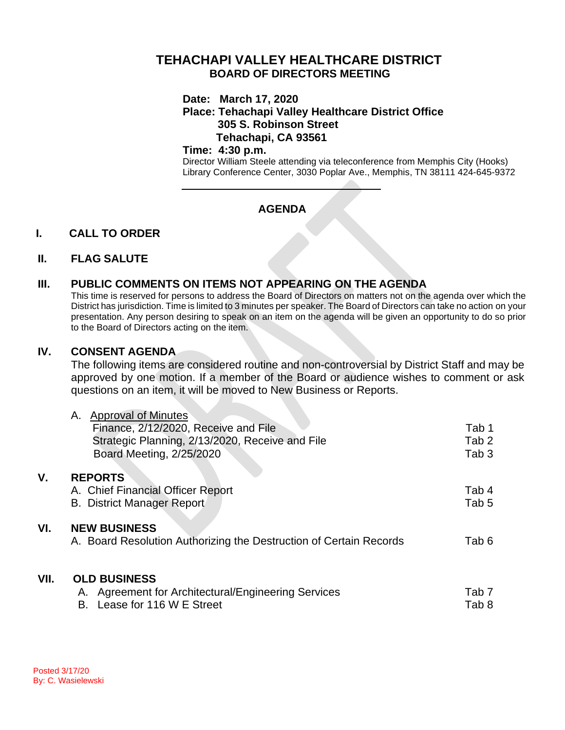# **TEHACHAPI VALLEY HEALTHCARE DISTRICT BOARD OF DIRECTORS MEETING**

#### **Date: March 17, 2020**

### **Place: Tehachapi Valley Healthcare District Office 305 S. Robinson Street Tehachapi, CA 93561**

#### **Time: 4:30 p.m.**

Director William Steele attending via teleconference from Memphis City (Hooks) Library Conference Center, 3030 Poplar Ave., Memphis, TN 38111 424-645-9372

## **AGENDA**

### **I. CALL TO ORDER**

#### **II. FLAG SALUTE**

### **III. PUBLIC COMMENTS ON ITEMS NOT APPEARING ON THE AGENDA**

This time is reserved for persons to address the Board of Directors on matters not on the agenda over which the District has jurisdiction. Time is limited to 3 minutes per speaker. The Board of Directors can take no action on your presentation. Any person desiring to speak on an item on the agenda will be given an opportunity to do so prior to the Board of Directors acting on the item.

### **IV. CONSENT AGENDA**

The following items are considered routine and non-controversial by District Staff and may be approved by one motion. If a member of the Board or audience wishes to comment or ask questions on an item, it will be moved to New Business or Reports.

|      | <b>Approval of Minutes</b><br>А.                                   |                  |
|------|--------------------------------------------------------------------|------------------|
|      | Finance, 2/12/2020, Receive and File                               | Tab 1            |
|      | Strategic Planning, 2/13/2020, Receive and File                    | Tab <sub>2</sub> |
|      | Board Meeting, 2/25/2020                                           | Tab <sub>3</sub> |
|      |                                                                    |                  |
| ۷.   | <b>REPORTS</b>                                                     |                  |
|      | A. Chief Financial Officer Report                                  | Tab 4            |
|      | B. District Manager Report                                         | Tab 5            |
|      |                                                                    |                  |
| VI.  | <b>NEW BUSINESS</b>                                                |                  |
|      | A. Board Resolution Authorizing the Destruction of Certain Records | Tab 6            |
|      |                                                                    |                  |
|      |                                                                    |                  |
| VII. | <b>OLD BUSINESS</b>                                                |                  |
|      | A. Agreement for Architectural/Engineering Services                | Tab 7            |
|      | Lease for 116 W E Street<br>В.                                     | Tab 8            |
|      |                                                                    |                  |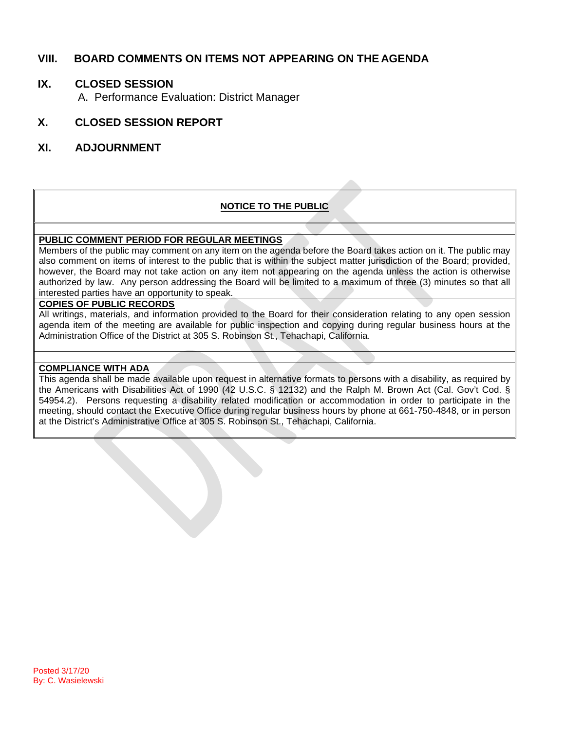## **VIII. BOARD COMMENTS ON ITEMS NOT APPEARING ON THE AGENDA**

## **IX. CLOSED SESSION**

A. Performance Evaluation: District Manager

## **X. CLOSED SESSION REPORT**

### **XI. ADJOURNMENT**

#### **NOTICE TO THE PUBLIC**

#### **PUBLIC COMMENT PERIOD FOR REGULAR MEETINGS**

Members of the public may comment on any item on the agenda before the Board takes action on it. The public may also comment on items of interest to the public that is within the subject matter jurisdiction of the Board; provided, however, the Board may not take action on any item not appearing on the agenda unless the action is otherwise authorized by law. Any person addressing the Board will be limited to a maximum of three (3) minutes so that all interested parties have an opportunity to speak.

#### **COPIES OF PUBLIC RECORDS**

All writings, materials, and information provided to the Board for their consideration relating to any open session agenda item of the meeting are available for public inspection and copying during regular business hours at the Administration Office of the District at 305 S. Robinson St., Tehachapi, California.

#### **COMPLIANCE WITH ADA**

This agenda shall be made available upon request in alternative formats to persons with a disability, as required by the Americans with Disabilities Act of 1990 (42 U.S.C. § 12132) and the Ralph M. Brown Act (Cal. Gov't Cod. § 54954.2). Persons requesting a disability related modification or accommodation in order to participate in the meeting, should contact the Executive Office during regular business hours by phone at 661-750-4848, or in person at the District's Administrative Office at 305 S. Robinson St., Tehachapi, California.